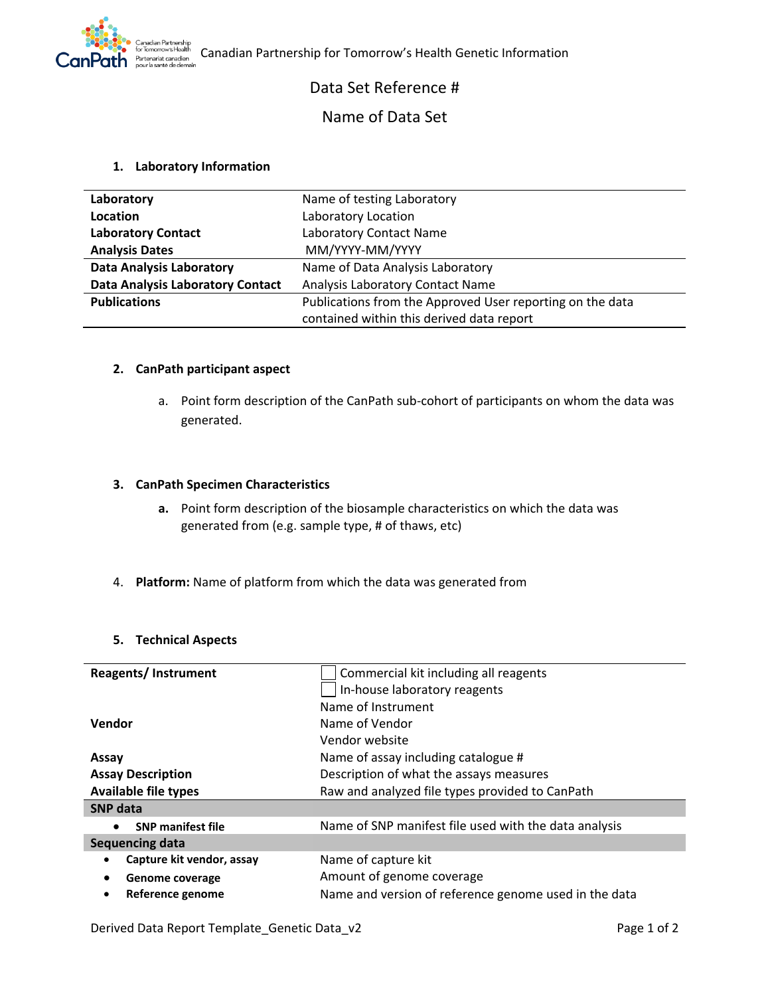

# Data Set Reference #

# Name of Data Set

## **1. Laboratory Information**

| Laboratory                              | Name of testing Laboratory                                |  |
|-----------------------------------------|-----------------------------------------------------------|--|
| Location                                | Laboratory Location                                       |  |
| <b>Laboratory Contact</b>               | Laboratory Contact Name                                   |  |
| <b>Analysis Dates</b>                   | MM/YYYY-MM/YYYY                                           |  |
| <b>Data Analysis Laboratory</b>         | Name of Data Analysis Laboratory                          |  |
| <b>Data Analysis Laboratory Contact</b> | Analysis Laboratory Contact Name                          |  |
| <b>Publications</b>                     | Publications from the Approved User reporting on the data |  |
|                                         | contained within this derived data report                 |  |

### **2. CanPath participant aspect**

a. Point form description of the CanPath sub-cohort of participants on whom the data was generated.

## **3. CanPath Specimen Characteristics**

- **a.** Point form description of the biosample characteristics on which the data was generated from (e.g. sample type, # of thaws, etc)
- 4. **Platform:** Name of platform from which the data was generated from

### **5. Technical Aspects**

| <b>Reagents/Instrument</b>            | Commercial kit including all reagents                 |  |
|---------------------------------------|-------------------------------------------------------|--|
|                                       | In-house laboratory reagents                          |  |
|                                       | Name of Instrument                                    |  |
| Vendor                                | Name of Vendor                                        |  |
|                                       | Vendor website                                        |  |
| Assay                                 | Name of assay including catalogue #                   |  |
| <b>Assay Description</b>              | Description of what the assays measures               |  |
| <b>Available file types</b>           | Raw and analyzed file types provided to CanPath       |  |
| <b>SNP</b> data                       |                                                       |  |
| <b>SNP manifest file</b><br>$\bullet$ | Name of SNP manifest file used with the data analysis |  |
| Sequencing data                       |                                                       |  |
| Capture kit vendor, assay             | Name of capture kit                                   |  |
| Genome coverage                       | Amount of genome coverage                             |  |
| Reference genome<br>٠                 | Name and version of reference genome used in the data |  |

Derived Data Report Template\_Genetic Data\_v2 Page 1 of 2